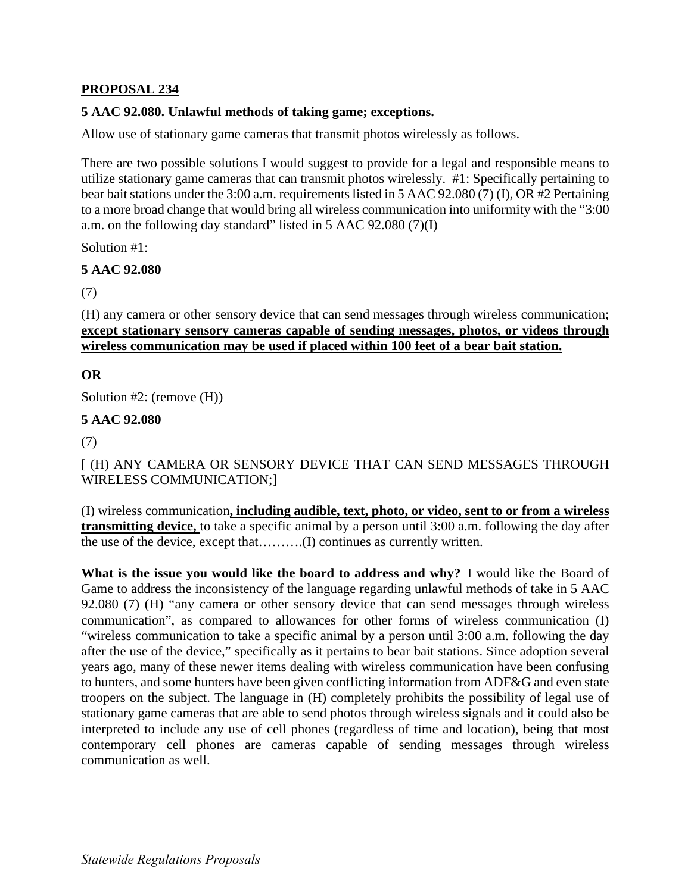# **PROPOSAL 234**

## **5 AAC 92.080. Unlawful methods of taking game; exceptions.**

Allow use of stationary game cameras that transmit photos wirelessly as follows.

 utilize stationary game cameras that can transmit photos wirelessly. #1: Specifically pertaining to There are two possible solutions I would suggest to provide for a legal and responsible means to bear bait stations under the 3:00 a.m. requirements listed in 5 AAC 92.080 (7) (I), OR #2 Pertaining to a more broad change that would bring all wireless communication into uniformity with the "3:00 a.m. on the following day standard" listed in 5 AAC 92.080 (7)(I)

Solution #1:

### **5 AAC 92.080**

(7)

(H) any camera or other sensory device that can send messages through wireless communication; **except stationary sensory cameras capable of sending messages, photos, or videos through wireless communication may be used if placed within 100 feet of a bear bait station.** 

### **OR**

Solution #2: (remove (H))

#### **5 AAC 92.080**

(7)

[ (H) ANY CAMERA OR SENSORY DEVICE THAT CAN SEND MESSAGES THROUGH WIRELESS COMMUNICATION;]

(I) wireless communication**, including audible, text, photo, or video, sent to or from a wireless transmitting device,** to take a specific animal by a person until 3:00 a.m. following the day after the use of the device, except that……….(I) continues as currently written.

What is the issue you would like the board to address and why? I would like the Board of troopers on the subject. The language in (H) completely prohibits the possibility of legal use of stationary game cameras that are able to send photos through wireless signals and it could also be Game to address the inconsistency of the language regarding unlawful methods of take in 5 AAC 92.080 (7) (H) "any camera or other sensory device that can send messages through wireless communication", as compared to allowances for other forms of wireless communication (I) "wireless communication to take a specific animal by a person until 3:00 a.m. following the day after the use of the device," specifically as it pertains to bear bait stations. Since adoption several years ago, many of these newer items dealing with wireless communication have been confusing to hunters, and some hunters have been given conflicting information from ADF&G and even state interpreted to include any use of cell phones (regardless of time and location), being that most contemporary cell phones are cameras capable of sending messages through wireless communication as well.